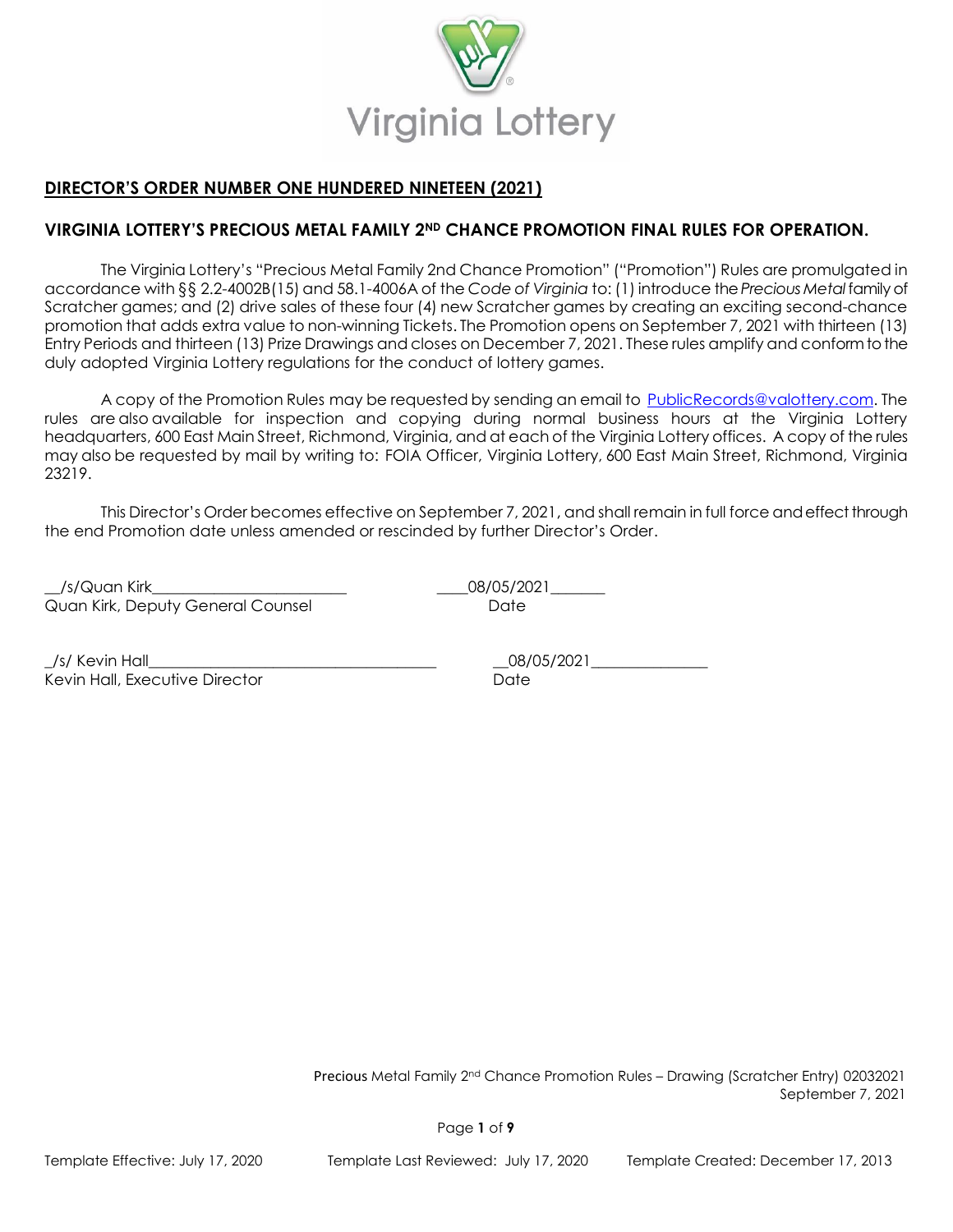

# **DIRECTOR'S ORDER NUMBER ONE HUNDERED NINETEEN (2021)**

## **VIRGINIA LOTTERY'S PRECIOUS METAL FAMILY 2ND CHANCE PROMOTION FINAL RULES FOR OPERATION.**

The Virginia Lottery's "Precious Metal Family 2nd Chance Promotion" ("Promotion") Rules are promulgated in accordance with §§ 2.2-4002B(15) and 58.1-4006A of the *Code of Virginia* to: (1) introduce the *Precious Metal*family of Scratcher games; and (2) drive sales of these four (4) new Scratcher games by creating an exciting second-chance promotion that adds extra value to non-winning Tickets. The Promotion opens on September 7, 2021 with thirteen (13) Entry Periods and thirteen (13) Prize Drawings and closes on December 7, 2021. These rules amplify and conform to the duly adopted Virginia Lottery regulations for the conduct of lottery games.

A copy of the Promotion Rules may be requested by sending an email to [PublicRecords@valottery.com.](mailto:PublicRecords@valottery.com) The rules are also available for inspection and copying during normal business hours at the Virginia Lottery headquarters, 600 East Main Street, Richmond, Virginia, and at each of the Virginia Lottery offices. A copy of the rules may also be requested by mail by writing to:  FOIA Officer, Virginia Lottery, 600 East Main Street, Richmond, Virginia 23219.

This Director's Order becomes effective on September 7, 2021, and shall remain in full force and effect through the end Promotion date unless amended or rescinded by further Director's Order.

\_\_/s/Quan Kirk\_\_\_\_\_\_\_\_\_\_\_\_\_\_\_\_\_\_\_\_\_\_\_\_\_ \_\_\_\_08/05/2021\_\_\_\_\_\_\_ Quan Kirk, Deputy General Counsel **Date** Date

\_/s/ Kevin Hall\_\_\_\_\_\_\_\_\_\_\_\_\_\_\_\_\_\_\_\_\_\_\_\_\_\_\_\_\_\_\_\_\_\_\_\_\_ \_\_08/05/2021\_\_\_\_\_\_\_\_\_\_\_\_\_\_\_ Kevin Hall, Executive Director **State According to the Catalogue** Date

Precious Metal Family 2nd Chance Promotion Rules – Drawing (Scratcher Entry) 02032021 September 7, 2021

Page **1** of **9**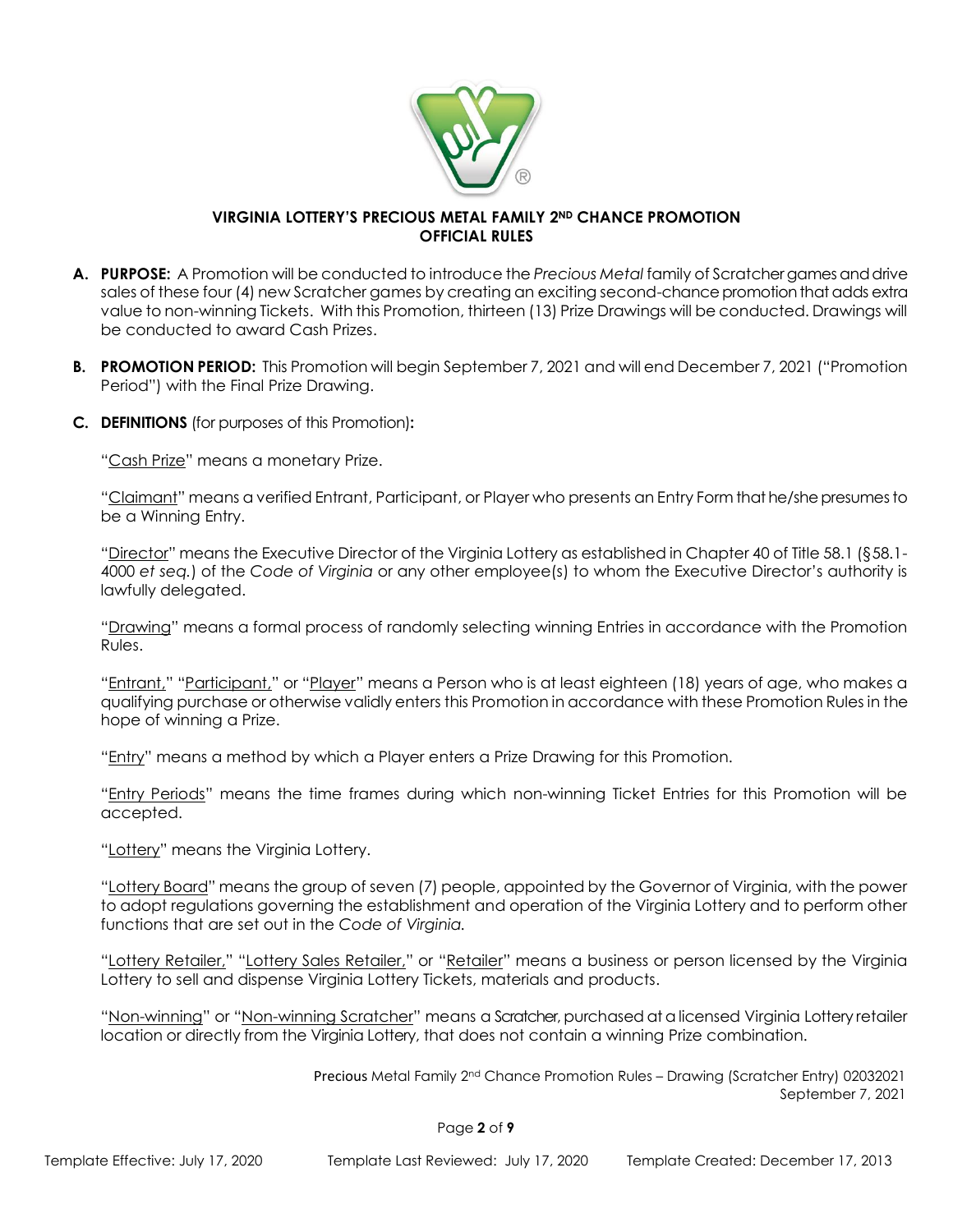

#### **VIRGINIA LOTTERY'S PRECIOUS METAL FAMILY 2ND CHANCE PROMOTION OFFICIAL RULES**

- A. PURPOSE: A Promotion will be conducted to introduce the *Precious Metal* family of Scratchergames and drive sales of these four (4) new Scratcher games by creating an exciting second-chance promotion that adds extra value to non-winning Tickets. With this Promotion, thirteen (13) Prize Drawings will be conducted. Drawings will be conducted to award Cash Prizes.
- **B. PROMOTION PERIOD:** This Promotion will begin September 7, 2021 and will end December 7, 2021 ("Promotion Period") with the Final Prize Drawing.
- **C. DEFINITIONS** (for purposes of this Promotion)**:**

"Cash Prize" means a monetary Prize.

"Claimant" means a verified Entrant, Participant, or Player who presents an Entry Form that he/she presumes to be a Winning Entry.

"Director" means the Executive Director of the Virginia Lottery as established in Chapter 40 of Title 58.1 (§58.1- 4000 *et seq.*) of the *Code of Virginia* or any other employee(s) to whom the Executive Director's authority is lawfully delegated.

"Drawing" means a formal process of randomly selecting winning Entries in accordance with the Promotion Rules.

"Entrant," "Participant," or "Player" means a Person who is at least eighteen (18) years of age, who makes a qualifying purchase or otherwise validly enters this Promotion in accordance with these Promotion Rules in the hope of winning a Prize.

"Entry" means a method by which a Player enters a Prize Drawing for this Promotion.

"Entry Periods" means the time frames during which non-winning Ticket Entries for this Promotion will be accepted.

"Lottery" means the Virginia Lottery.

"Lottery Board" means the group of seven (7) people, appointed by the Governor of Virginia, with the power to adopt regulations governing the establishment and operation of the Virginia Lottery and to perform other functions that are set out in the *Code of Virginia.*

"Lottery Retailer," "Lottery Sales Retailer," or "Retailer" means a business or person licensed by the Virginia Lottery to sell and dispense Virginia Lottery Tickets, materials and products.

"Non-winning" or "Non-winning Scratcher" means a Scratcher, purchased at a licensed Virginia Lottery retailer location or directly from the Virginia Lottery, that does not contain a winning Prize combination.

Precious Metal Family 2nd Chance Promotion Rules – Drawing (Scratcher Entry) 02032021 September 7, 2021

Page **2** of **9**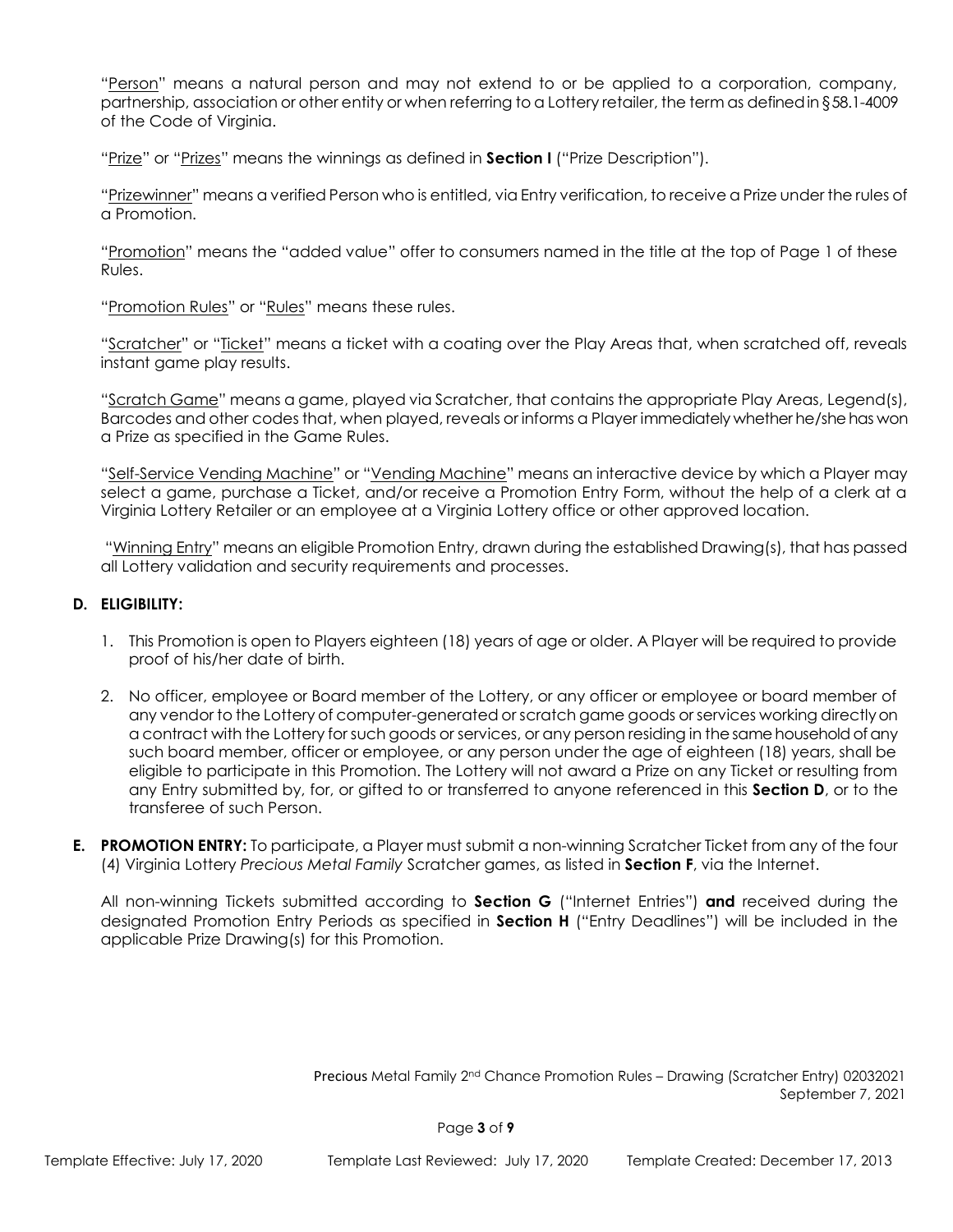"Person" means a natural person and may not extend to or be applied to a corporation, company, partnership, association or other entity or when referring to a Lottery retailer, the term as defined in §58.1-4009 of the Code of Virginia.

"Prize" or "Prizes" means the winnings as defined in **Section I** ("Prize Description").

"Prizewinner" means a verified Person who is entitled, via Entry verification, to receive a Prize under the rules of a Promotion.

"Promotion" means the "added value" offer to consumers named in the title at the top of Page 1 of these Rules.

"Promotion Rules" or "Rules" means these rules.

"Scratcher" or "Ticket" means a ticket with a coating over the Play Areas that, when scratched off, reveals instant game play results.

"Scratch Game" means a game, played via Scratcher, that contains the appropriate Play Areas, Legend(s), Barcodes and other codes that, when played, reveals or informs a Player immediately whether he/she has won a Prize as specified in the Game Rules.

"Self-Service Vending Machine" or "Vending Machine" means an interactive device by which a Player may select a game, purchase a Ticket, and/or receive a Promotion Entry Form, without the help of a clerk at a Virginia Lottery Retailer or an employee at a Virginia Lottery office or other approved location.

"Winning Entry" means an eligible Promotion Entry, drawn during the established Drawing(s), that has passed all Lottery validation and security requirements and processes.

## **D. ELIGIBILITY:**

- 1. This Promotion is open to Players eighteen (18) years of age or older. A Player will be required to provide proof of his/her date of birth.
- 2. No officer, employee or Board member of the Lottery, or any officer or employee or board member of any vendor to the Lottery of computer-generated or scratch game goods or services working directly on a contract with the Lottery for such goods or services, or any person residing in the same household of any such board member, officer or employee, or any person under the age of eighteen (18) years, shall be eligible to participate in this Promotion. The Lottery will not award a Prize on any Ticket or resulting from any Entry submitted by, for, or gifted to or transferred to anyone referenced in this **Section D**, or to the transferee of such Person.
- **E. PROMOTION ENTRY:** To participate, a Player must submit a non-winning Scratcher Ticket from any of the four (4) Virginia Lottery *Precious Metal Family* Scratcher games, as listed in **Section F**, via the Internet.

All non-winning Tickets submitted according to **Section G** ("Internet Entries") **and** received during the designated Promotion Entry Periods as specified in **Section H** ("Entry Deadlines") will be included in the applicable Prize Drawing(s) for this Promotion.

Precious Metal Family 2nd Chance Promotion Rules – Drawing (Scratcher Entry) 02032021 September 7, 2021

Page **3** of **9**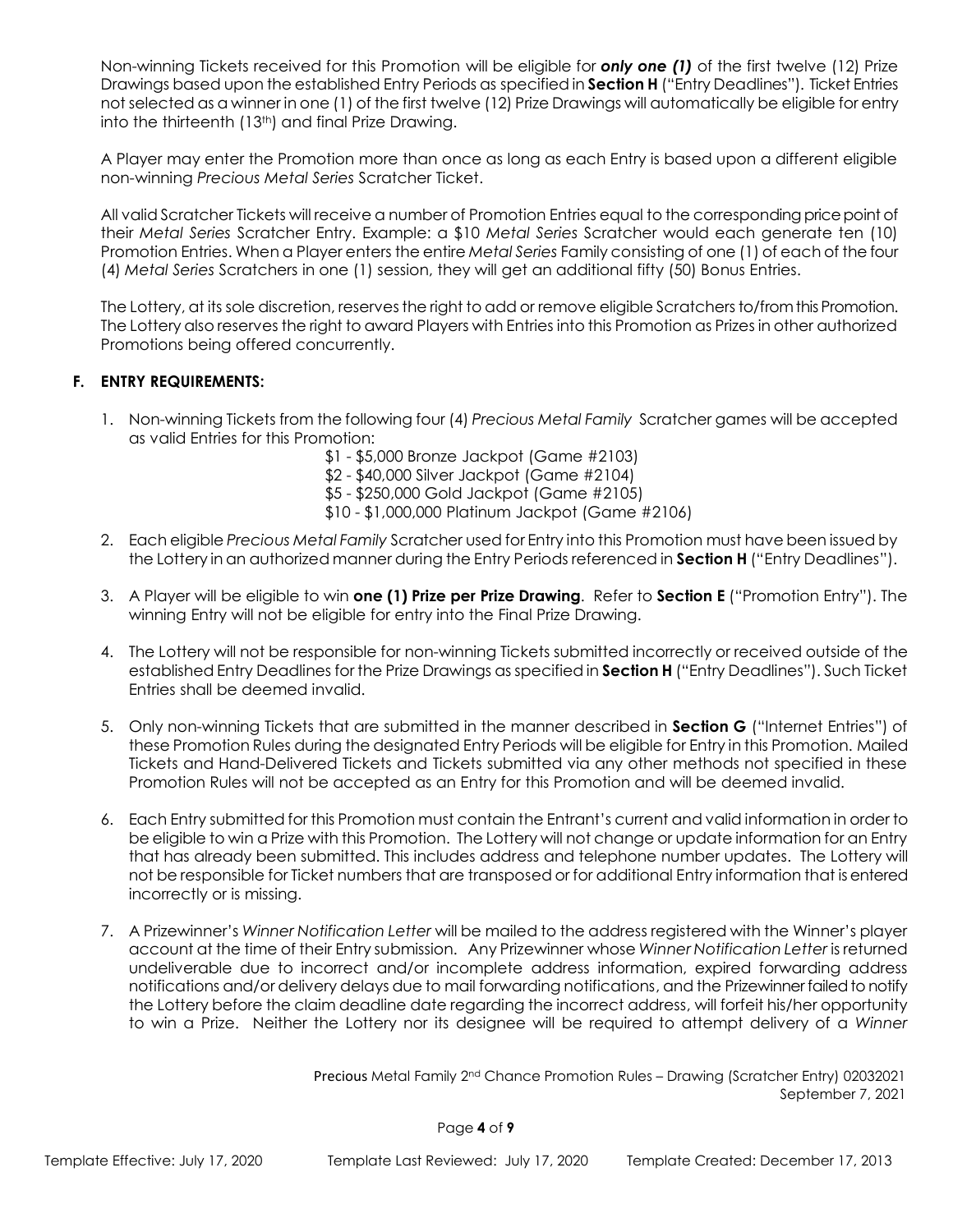Non-winning Tickets received for this Promotion will be eligible for *only one (1)* of the first twelve (12) Prize Drawings based upon the established Entry Periods as specified in **Section H** ("Entry Deadlines"). Ticket Entries not selected as a winner in one (1) of the first twelve (12) Prize Drawings will automatically be eligible for entry into the thirteenth (13<sup>th</sup>) and final Prize Drawing.

A Player may enter the Promotion more than once as long as each Entry is based upon a different eligible non-winning *Precious Metal Series* Scratcher Ticket.

All valid Scratcher Tickets will receive a number of Promotion Entries equal to the corresponding price point of their *Metal Series* Scratcher Entry. Example: a \$10 *Metal Series* Scratcher would each generate ten (10) Promotion Entries. When a Player enters the entire *Metal Series* Family consisting of one (1) of each of the four (4) *Metal Series* Scratchers in one (1) session, they will get an additional fifty (50) Bonus Entries.

The Lottery, at its sole discretion, reserves the right to add or remove eligible Scratchers to/from this Promotion. The Lottery also reserves the right to award Players with Entries into this Promotion as Prizes in other authorized Promotions being offered concurrently.

# **F. ENTRY REQUIREMENTS:**

- 1. Non-winning Tickets from the following four (4) *Precious Metal Family* Scratcher games will be accepted as valid Entries for this Promotion:
	- \$1 \$5,000 Bronze Jackpot (Game #2103)
	- \$2 \$40,000 Silver Jackpot (Game #2104)
	- \$5 \$250,000 Gold Jackpot (Game #2105)
	- \$10 \$1,000,000 Platinum Jackpot (Game #2106)
- 2. Each eligible *Precious Metal Family* Scratcher used for Entry into this Promotion must have been issued by the Lottery in an authorized manner during the Entry Periods referenced in **Section H** ("Entry Deadlines").
- 3. A Player will be eligible to win **one (1) Prize per Prize Drawing**. Refer to **Section E** ("Promotion Entry"). The winning Entry will not be eligible for entry into the Final Prize Drawing.
- 4. The Lottery will not be responsible for non-winning Tickets submitted incorrectly or received outside of the established Entry Deadlines for the Prize Drawings as specified in **Section H** ("Entry Deadlines"). Such Ticket Entries shall be deemed invalid.
- 5. Only non-winning Tickets that are submitted in the manner described in **Section G** ("Internet Entries") of these Promotion Rules during the designated Entry Periods will be eligible for Entry in this Promotion. Mailed Tickets and Hand-Delivered Tickets and Tickets submitted via any other methods not specified in these Promotion Rules will not be accepted as an Entry for this Promotion and will be deemed invalid.
- 6. Each Entry submitted for this Promotion must contain the Entrant's current and valid information in order to be eligible to win a Prize with this Promotion. The Lottery will not change or update information for an Entry that has already been submitted. This includes address and telephone number updates. The Lottery will not be responsible for Ticket numbers that are transposed or for additional Entry information that is entered incorrectly or is missing.
- 7. A Prizewinner's *Winner Notification Letter* will be mailed to the address registered with the Winner's player account at the time of their Entry submission. Any Prizewinner whose *Winner Notification Letter* is returned undeliverable due to incorrect and/or incomplete address information, expired forwarding address notifications and/or delivery delays due to mail forwarding notifications, and the Prizewinner failed to notify the Lottery before the claim deadline date regarding the incorrect address, will forfeit his/her opportunity to win a Prize. Neither the Lottery nor its designee will be required to attempt delivery of a *Winner*

Precious Metal Family 2nd Chance Promotion Rules – Drawing (Scratcher Entry) 02032021 September 7, 2021

Page **4** of **9**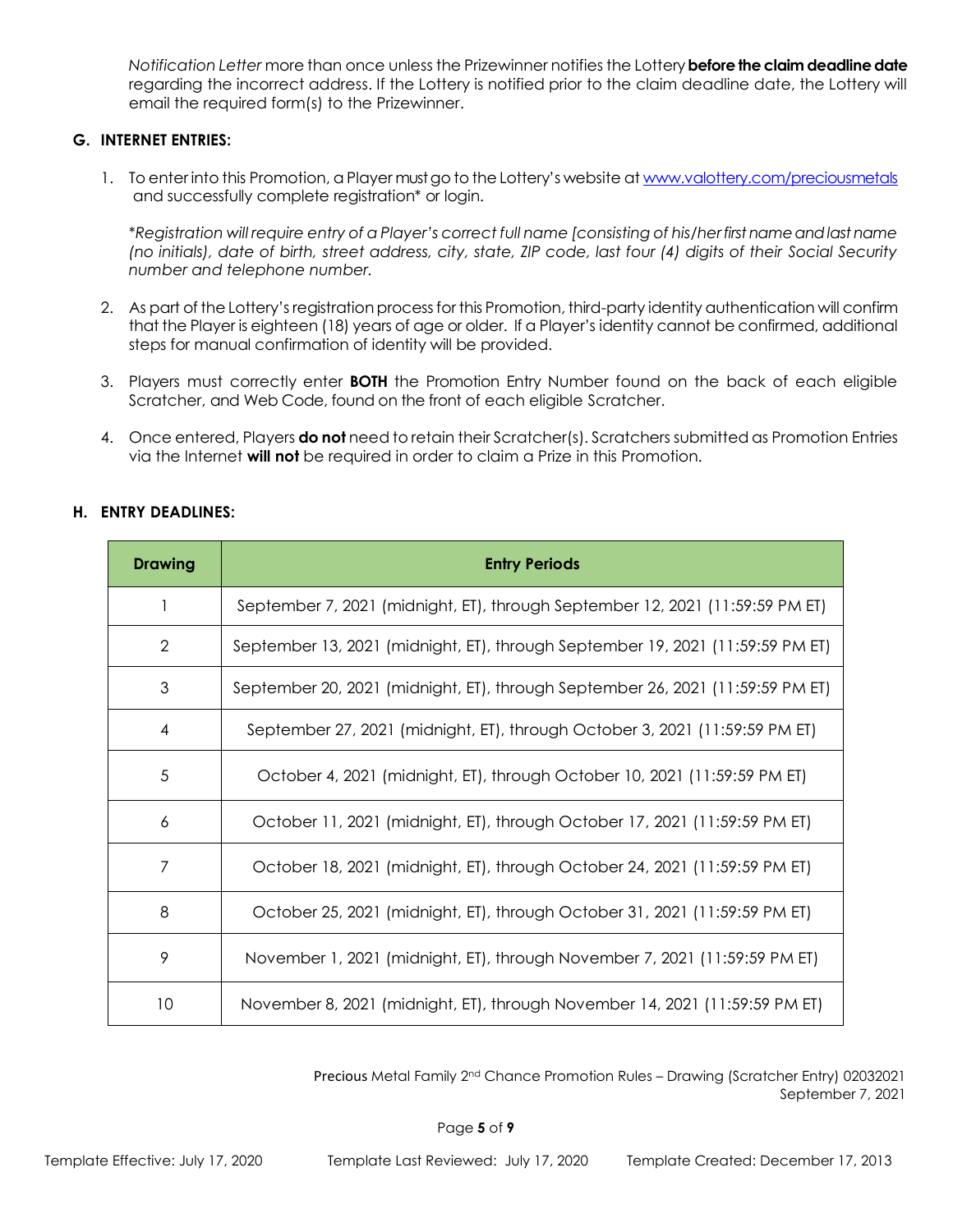*Notification Letter* more than once unless the Prizewinner notifies the Lottery **before the claim deadline date**  regarding the incorrect address. If the Lottery is notified prior to the claim deadline date, the Lottery will email the required form(s) to the Prizewinner.

### **G. INTERNET ENTRIES:**

1. To enter into this Promotion, a Player must go to the Lottery's website [at www.valottery.com/preciousmetals](http://www.valottery.com/preciousmetals) and successfully complete registration\* or login.

\**Registration will require entry of a Player's correct full name [consisting of his/her first name and last name (no initials), date of birth, street address, city, state, ZIP code, last four (4) digits of their Social Security number and telephone number.*

- 2. As part of the Lottery's registration process for this Promotion, third-party identity authentication will confirm that the Player is eighteen (18) years of age or older. If a Player's identity cannot be confirmed, additional steps for manual confirmation of identity will be provided.
- 3. Players must correctly enter **BOTH** the Promotion Entry Number found on the back of each eligible Scratcher, and Web Code, found on the front of each eligible Scratcher.
- 4. Once entered, Players **do not** need to retain their Scratcher(s). Scratchers submitted as Promotion Entries via the Internet **will not** be required in order to claim a Prize in this Promotion.

#### **H. ENTRY DEADLINES:**

| <b>Drawing</b>  | <b>Entry Periods</b>                                                           |
|-----------------|--------------------------------------------------------------------------------|
|                 | September 7, 2021 (midnight, ET), through September 12, 2021 (11:59:59 PM ET)  |
| 2               | September 13, 2021 (midnight, ET), through September 19, 2021 (11:59:59 PM ET) |
| 3               | September 20, 2021 (midnight, ET), through September 26, 2021 (11:59:59 PM ET) |
| 4               | September 27, 2021 (midnight, ET), through October 3, 2021 (11:59:59 PM ET)    |
| 5               | October 4, 2021 (midnight, ET), through October 10, 2021 (11:59:59 PM ET)      |
| 6               | October 11, 2021 (midnight, ET), through October 17, 2021 (11:59:59 PM ET)     |
| 7               | October 18, 2021 (midnight, ET), through October 24, 2021 (11:59:59 PM ET)     |
| 8               | October 25, 2021 (midnight, ET), through October 31, 2021 (11:59:59 PM ET)     |
| 9               | November 1, 2021 (midnight, ET), through November 7, 2021 (11:59:59 PM ET)     |
| 10 <sup>°</sup> | November 8, 2021 (midnight, ET), through November 14, 2021 (11:59:59 PM ET)    |

Precious Metal Family 2nd Chance Promotion Rules – Drawing (Scratcher Entry) 02032021 September 7, 2021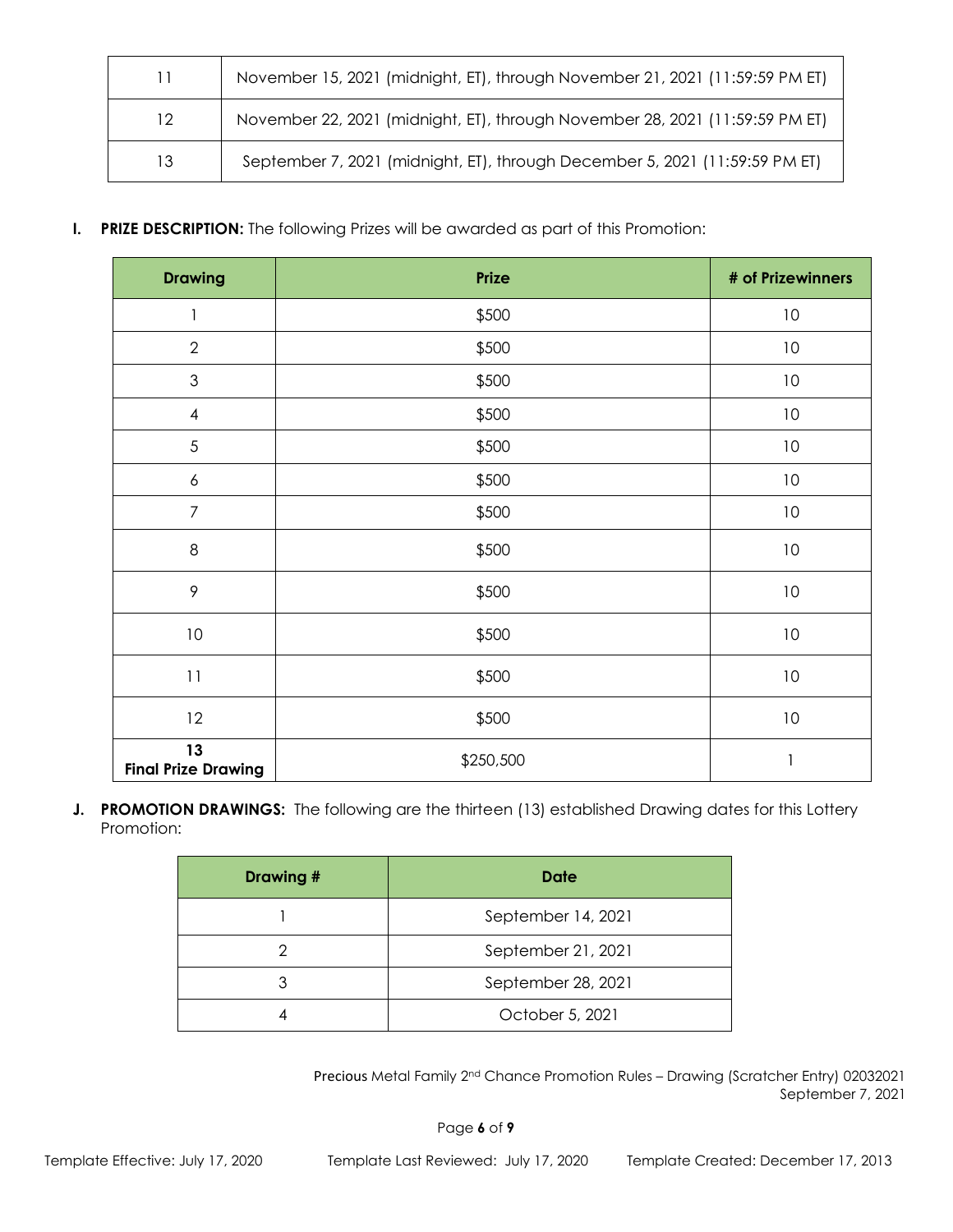| 11               | November 15, 2021 (midnight, ET), through November 21, 2021 (11:59:59 PM ET) |
|------------------|------------------------------------------------------------------------------|
| 12 <sup>12</sup> | November 22, 2021 (midnight, ET), through November 28, 2021 (11:59:59 PM ET) |
| 13               | September 7, 2021 (midnight, ET), through December 5, 2021 (11:59:59 PM ET)  |

# **I. PRIZE DESCRIPTION:** The following Prizes will be awarded as part of this Promotion:

| <b>Drawing</b>                   | Prize     | # of Prizewinners |
|----------------------------------|-----------|-------------------|
| 1                                | \$500     | 10                |
| $\sqrt{2}$                       | \$500     | $10$              |
| $\mathfrak{S}$                   | \$500     | $10$              |
| $\overline{\mathcal{A}}$         | \$500     | $10$              |
| $\sqrt{5}$                       | \$500     | $10$              |
| $\boldsymbol{6}$                 | \$500     | 10                |
| $\overline{7}$                   | \$500     | $10$              |
| $\,8\,$                          | \$500     | $10$              |
| $\mathcal{P}$                    | \$500     | $10$              |
| $10\,$                           | \$500     | $10$              |
| $1\,1$                           | \$500     | $10$              |
| 12                               | \$500     | $10$              |
| 13<br><b>Final Prize Drawing</b> | \$250,500 | $\mathbf{1}$      |

**J. PROMOTION DRAWINGS:** The following are the thirteen (13) established Drawing dates for this Lottery Promotion:

| Drawing # | Date               |
|-----------|--------------------|
|           | September 14, 2021 |
|           | September 21, 2021 |
|           | September 28, 2021 |
|           | October 5, 2021    |

Precious Metal Family 2nd Chance Promotion Rules – Drawing (Scratcher Entry) 02032021 September 7, 2021

Page **6** of **9**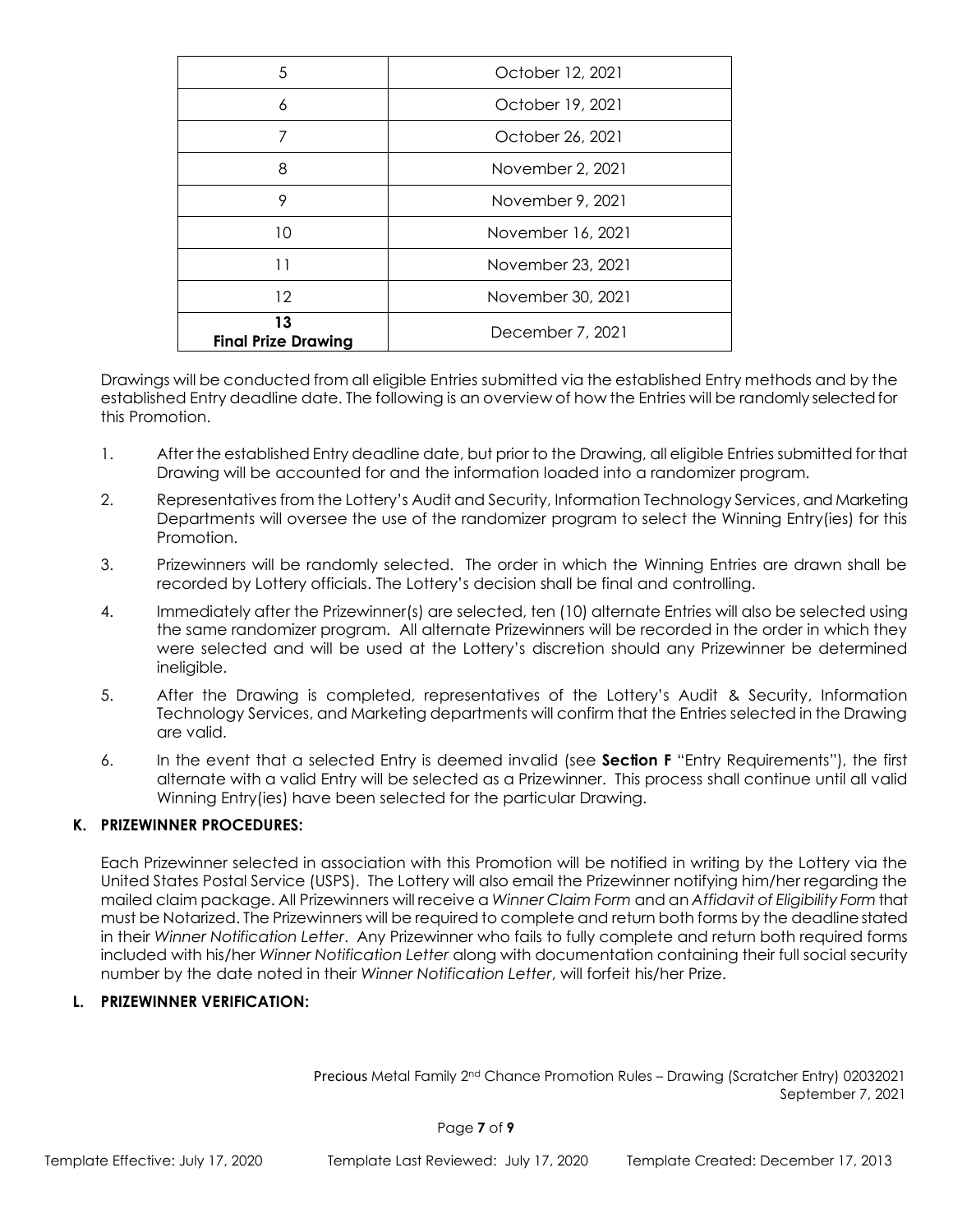| 5                                | October 12, 2021  |
|----------------------------------|-------------------|
| 6                                | October 19, 2021  |
| 7                                | October 26, 2021  |
| 8                                | November 2, 2021  |
| 9                                | November 9, 2021  |
| 10                               | November 16, 2021 |
| 11                               | November 23, 2021 |
| $12 \,$                          | November 30, 2021 |
| 13<br><b>Final Prize Drawing</b> | December 7, 2021  |

Drawings will be conducted from all eligible Entries submitted via the established Entry methods and by the established Entry deadline date. The following is an overview of how the Entries will be randomly selected for this Promotion.

- 1. After the established Entry deadline date, but prior to the Drawing, all eligible Entries submitted for that Drawing will be accounted for and the information loaded into a randomizer program.
- 2. Representatives from the Lottery's Audit and Security, Information Technology Services, and Marketing Departments will oversee the use of the randomizer program to select the Winning Entry(ies) for this Promotion.
- 3. Prizewinners will be randomly selected. The order in which the Winning Entries are drawn shall be recorded by Lottery officials. The Lottery's decision shall be final and controlling.
- 4. Immediately after the Prizewinner(s) are selected, ten (10) alternate Entries will also be selected using the same randomizer program. All alternate Prizewinners will be recorded in the order in which they were selected and will be used at the Lottery's discretion should any Prizewinner be determined ineligible.
- 5. After the Drawing is completed, representatives of the Lottery's Audit & Security, Information Technology Services, and Marketing departments will confirm that the Entries selected in the Drawing are valid.
- 6. In the event that a selected Entry is deemed invalid (see **Section F** "Entry Requirements"), the first alternate with a valid Entry will be selected as a Prizewinner. This process shall continue until all valid Winning Entry(ies) have been selected for the particular Drawing.

# **K. PRIZEWINNER PROCEDURES:**

Each Prizewinner selected in association with this Promotion will be notified in writing by the Lottery via the United States Postal Service (USPS). The Lottery will also email the Prizewinner notifying him/her regarding the mailed claim package. All Prizewinners will receive a *Winner Claim Form* and an *Affidavit of Eligibility Form* that must be Notarized. The Prizewinners will be required to complete and return both forms by the deadline stated in their *Winner Notification Letter*. Any Prizewinner who fails to fully complete and return both required forms included with his/her *Winner Notification Letter* along with documentation containing their full social security number by the date noted in their *Winner Notification Letter*, will forfeit his/her Prize.

### **L. PRIZEWINNER VERIFICATION:**

Precious Metal Family 2nd Chance Promotion Rules – Drawing (Scratcher Entry) 02032021 September 7, 2021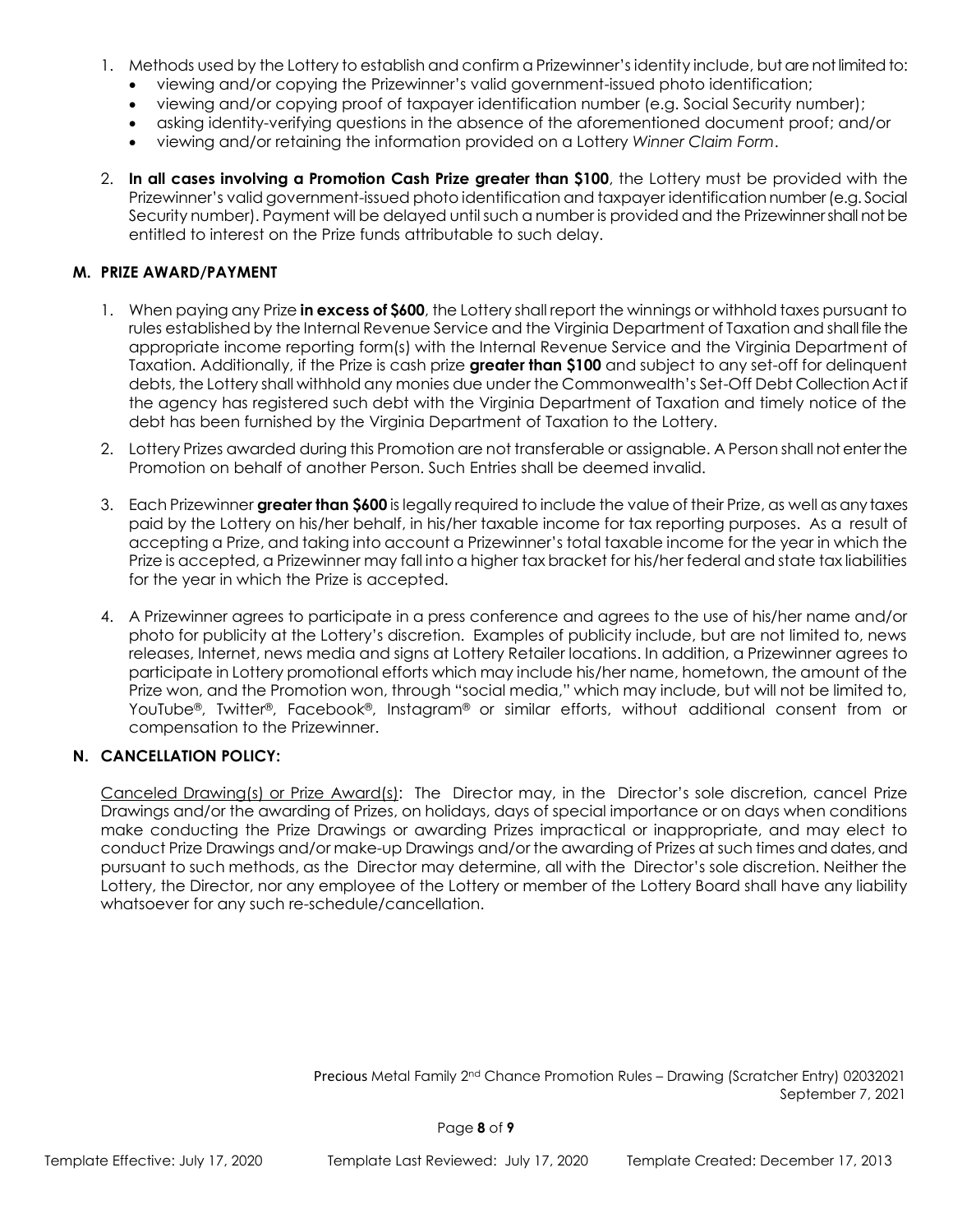- 1. Methods used by the Lottery to establish and confirm a Prizewinner's identity include, but are not limited to:
	- viewing and/or copying the Prizewinner's valid government-issued photo identification;
	- viewing and/or copying proof of taxpayer identification number (e.g. Social Security number);
	- asking identity-verifying questions in the absence of the aforementioned document proof; and/or
	- viewing and/or retaining the information provided on a Lottery *Winner Claim Form*.
- 2. **In all cases involving a Promotion Cash Prize greater than \$100**, the Lottery must be provided with the Prizewinner's valid government-issued photo identification and taxpayer identification number (e.g. Social Security number). Payment will be delayed until such a number is provided and the Prizewinner shall not be entitled to interest on the Prize funds attributable to such delay.

## **M. PRIZE AWARD/PAYMENT**

- 1. When paying any Prize **in excess of \$600**, the Lottery shall report the winnings or withhold taxes pursuant to rules established by the Internal Revenue Service and the Virginia Department of Taxation and shall file the appropriate income reporting form(s) with the Internal Revenue Service and the Virginia Department of Taxation. Additionally, if the Prize is cash prize **greater than \$100** and subject to any set-off for delinquent debts, the Lottery shall withhold any monies due under the Commonwealth's Set-Off Debt Collection Act if the agency has registered such debt with the Virginia Department of Taxation and timely notice of the debt has been furnished by the Virginia Department of Taxation to the Lottery.
- 2. Lottery Prizes awarded during this Promotion are not transferable or assignable. A Person shall not enter the Promotion on behalf of another Person. Such Entries shall be deemed invalid.
- 3. Each Prizewinner **greater than \$600** is legally required to include the value of their Prize, as well as any taxes paid by the Lottery on his/her behalf, in his/her taxable income for tax reporting purposes. As a result of accepting a Prize, and taking into account a Prizewinner's total taxable income for the year in which the Prize is accepted, a Prizewinner may fall into a higher tax bracket for his/her federal and state tax liabilities for the year in which the Prize is accepted.
- 4. A Prizewinner agrees to participate in a press conference and agrees to the use of his/her name and/or photo for publicity at the Lottery's discretion. Examples of publicity include, but are not limited to, news releases, Internet, news media and signs at Lottery Retailer locations. In addition, a Prizewinner agrees to participate in Lottery promotional efforts which may include his/her name, hometown, the amount of the Prize won, and the Promotion won, through "social media," which may include, but will not be limited to, YouTube®, Twitter®, Facebook®, Instagram® or similar efforts, without additional consent from or compensation to the Prizewinner.

#### **N. CANCELLATION POLICY:**

Canceled Drawing(s) or Prize Award(s): The Director may, in the Director's sole discretion, cancel Prize Drawings and/or the awarding of Prizes, on holidays, days of special importance or on days when conditions make conducting the Prize Drawings or awarding Prizes impractical or inappropriate, and may elect to conduct Prize Drawings and/or make-up Drawings and/or the awarding of Prizes at such times and dates, and pursuant to such methods, as the Director may determine, all with the Director's sole discretion. Neither the Lottery, the Director, nor any employee of the Lottery or member of the Lottery Board shall have any liability whatsoever for any such re-schedule/cancellation.